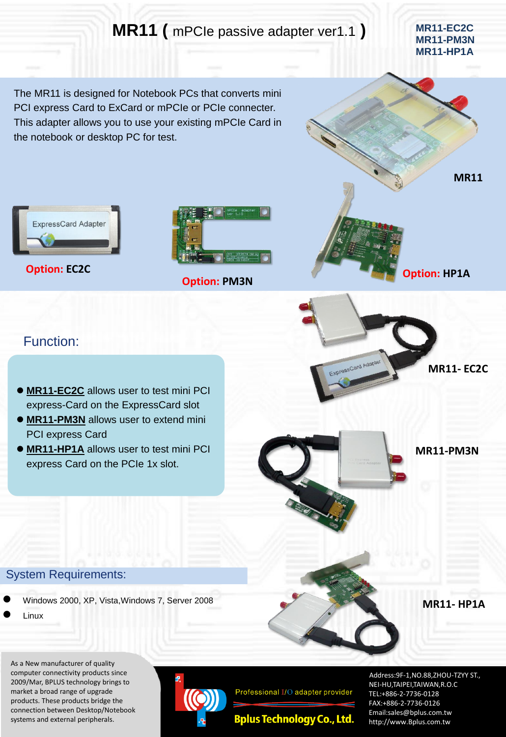## **MR11** ( mPCIe passive adapter ver1.1 ) MR11-EC2C

**MR11-PM3N MR11-HP1A**

The MR11 is designed for Notebook PCs that converts mini PCI express Card to ExCard or mPCIe or PCIe connecter. This adapter allows you to use your existing mPCIe Card in the notebook or desktop PC for test.



**Option: EC2C**



**Option: PM3N**



**Option: HP1A**

## Function:

- **MR11-EC2C** allows user to test mini PCI express-Card on the ExpressCard slot
- **MR11-PM3N** allows user to extend mini PCI express Card
- **MR11-HP1A** allows user to test mini PCI express Card on the PCIe 1x slot.

**MR11- EC2C**

**MR11-PM3N**

**MR11- HP1A**

## System Requirements:

- Windows 2000, XP, Vista,Windows 7, Server 2008
- Linux

As a New manufacturer of quality computer connectivity products since 2009/Mar, BPLUS technology brings to market a broad range of upgrade products. These products bridge the connection between Desktop/Notebook systems and external peripherals.



Professional I/O adapter provider

**Bplus Technology Co., Ltd.** 

Address:9F-1,NO.88,ZHOU-TZYY ST., NEI-HU,TAIPEI,TAIWAN,R.O.C TEL:+886-2-7736-0128 FAX:+886-2-7736-0126 Email:sales@bplus.com.tw http://www.Bplus.com.tw